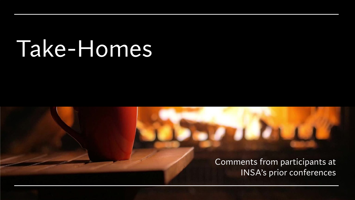# Take-Homes

Comments from participants at INSA's prior conferences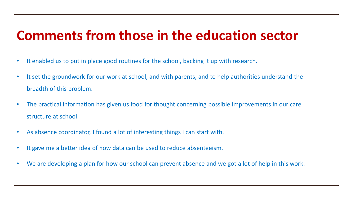#### **Comments from those in the education sector**

- It enabled us to put in place good routines for the school, backing it up with research.
- It set the groundwork for our work at school, and with parents, and to help authorities understand the breadth of this problem.
- The practical information has given us food for thought concerning possible improvements in our care structure at school.
- As absence coordinator, I found a lot of interesting things I can start with.
- It gave me a better idea of how data can be used to reduce absenteeism.
- We are developing a plan for how our school can prevent absence and we got a lot of help in this work.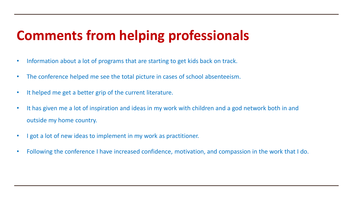## **Comments from helping professionals**

- Information about a lot of programs that are starting to get kids back on track.
- The conference helped me see the total picture in cases of school absenteeism.
- It helped me get a better grip of the current literature.
- It has given me a lot of inspiration and ideas in my work with children and a god network both in and outside my home country.
- I got a lot of new ideas to implement in my work as practitioner.
- Following the conference I have increased confidence, motivation, and compassion in the work that I do.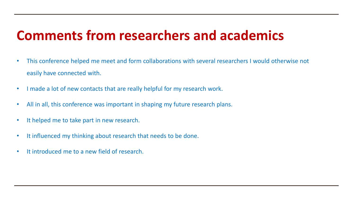### **Comments from researchers and academics**

- This conference helped me meet and form collaborations with several researchers I would otherwise not easily have connected with.
- I made a lot of new contacts that are really helpful for my research work.
- All in all, this conference was important in shaping my future research plans.
- It helped me to take part in new research.
- It influenced my thinking about research that needs to be done.
- It introduced me to a new field of research.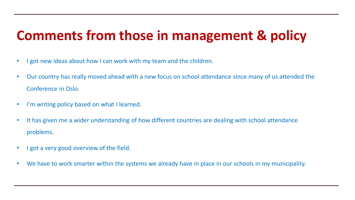### **Comments from those in management & policy**

- I got new ideas about how I can work with my team and the children.
- Our country has really moved ahead with a new focus on school attendance since many of us attended the Conference in Oslo.
- I'm writing policy based on what I learned.
- It has given me a wider understanding of how different countries are dealing with school attendance problems.
- I got a very good overview of the field.
- We have to work smarter within the systems we already have in place in our schools in my municipality.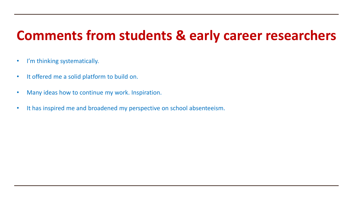#### **Comments from students & early career researchers**

- I'm thinking systematically.
- It offered me a solid platform to build on.
- Many ideas how to continue my work. Inspiration.
- It has inspired me and broadened my perspective on school absenteeism.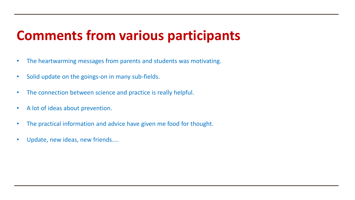#### **Comments from various participants**

- The heartwarming messages from parents and students was motivating.
- Solid update on the goings-on in many sub-fields.
- The connection between science and practice is really helpful.
- A lot of ideas about prevention.
- The practical information and advice have given me food for thought.
- Update, new ideas, new friends....